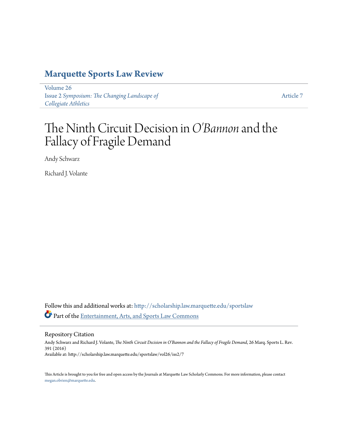## **[Marquette Sports Law Review](http://scholarship.law.marquette.edu/sportslaw?utm_source=scholarship.law.marquette.edu%2Fsportslaw%2Fvol26%2Fiss2%2F7&utm_medium=PDF&utm_campaign=PDFCoverPages)**

[Volume 26](http://scholarship.law.marquette.edu/sportslaw/vol26?utm_source=scholarship.law.marquette.edu%2Fsportslaw%2Fvol26%2Fiss2%2F7&utm_medium=PDF&utm_campaign=PDFCoverPages) Issue 2 *[Symposium: The Changing Landscape of](http://scholarship.law.marquette.edu/sportslaw/vol26/iss2?utm_source=scholarship.law.marquette.edu%2Fsportslaw%2Fvol26%2Fiss2%2F7&utm_medium=PDF&utm_campaign=PDFCoverPages) [Collegiate Athletics](http://scholarship.law.marquette.edu/sportslaw/vol26/iss2?utm_source=scholarship.law.marquette.edu%2Fsportslaw%2Fvol26%2Fiss2%2F7&utm_medium=PDF&utm_campaign=PDFCoverPages)*

[Article 7](http://scholarship.law.marquette.edu/sportslaw/vol26/iss2/7?utm_source=scholarship.law.marquette.edu%2Fsportslaw%2Fvol26%2Fiss2%2F7&utm_medium=PDF&utm_campaign=PDFCoverPages)

# The Ninth Circuit Decision in*O'Bannon* and the Fallacy of Fragile Demand

Andy Schwarz

Richard J. Volante

Follow this and additional works at: [http://scholarship.law.marquette.edu/sportslaw](http://scholarship.law.marquette.edu/sportslaw?utm_source=scholarship.law.marquette.edu%2Fsportslaw%2Fvol26%2Fiss2%2F7&utm_medium=PDF&utm_campaign=PDFCoverPages) Part of the [Entertainment, Arts, and Sports Law Commons](http://network.bepress.com/hgg/discipline/893?utm_source=scholarship.law.marquette.edu%2Fsportslaw%2Fvol26%2Fiss2%2F7&utm_medium=PDF&utm_campaign=PDFCoverPages)

Repository Citation

Andy Schwarz and Richard J. Volante, *The Ninth Circuit Decision in O'Bannon and the Fallacy of Fragile Demand*, 26 Marq. Sports L. Rev. 391 (2016) Available at: http://scholarship.law.marquette.edu/sportslaw/vol26/iss2/7

This Article is brought to you for free and open access by the Journals at Marquette Law Scholarly Commons. For more information, please contact [megan.obrien@marquette.edu.](mailto:megan.obrien@marquette.edu)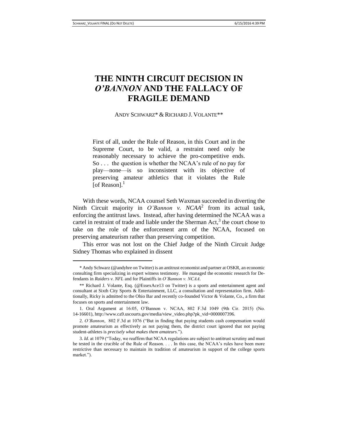### **THE NINTH CIRCUIT DECISION IN**  *O'BANNON* **AND THE FALLACY OF FRAGILE DEMAND**

ANDY SCHWARZ\* & RICHARD J. VOLANTE\*\*

First of all, under the Rule of Reason, in this Court and in the Supreme Court, to be valid, a restraint need only be reasonably necessary to achieve the pro-competitive ends. So . . . the question is whether the NCAA's rule of no pay for play—none—is so inconsistent with its objective of preserving amateur athletics that it violates the Rule [of Reason]. $<sup>1</sup>$ </sup>

With these words, NCAA counsel Seth Waxman succeeded in diverting the Ninth Circuit majority in *O'Bannon v. NCAA*<sup>2</sup> from its actual task, enforcing the antitrust laws. Instead, after having determined the NCAA was a cartel in restraint of trade and liable under the Sherman  $Act$ ,  $3$  the court chose to take on the role of the enforcement arm of the NCAA, focused on preserving amateurism rather than preserving competition.

This error was not lost on the Chief Judge of the Ninth Circuit Judge Sidney Thomas who explained in dissent

<sup>\*</sup> Andy Schwarz (@andyhre on Twitter) is an antitrust economist and partner at OSKR, an economic consulting firm specializing in expert witness testimony. He managed the economic research for Defendants in *Raiders v. NFL* and for Plaintiffs in *O'Bannon v. NCAA*.

<sup>\*\*</sup> Richard J. Volante, Esq. (@EssexAce13 on Twitter) is a sports and entertainment agent and consultant at Sixth City Sports & Entertainment, LLC, a consultation and representation firm. Additionally, Ricky is admitted to the Ohio Bar and recently co-founded Victor & Volante, Co., a firm that focuses on sports and entertainment law.

<sup>1.</sup> Oral Argument at 16:05, O'Bannon v. NCAA, 802 F.3d 1049 (9th Cir. 2015) (No. 14-16601), http://www.ca9.uscourts.gov/media/view\_video.php?pk\_vid=0000007396.

<sup>2.</sup> *O'Bannon*, 802 F.3d at 1076 ("But in finding that paying students cash compensation would promote amateurism as effectively as not paying them, the district court ignored that not paying student-athletes is *precisely what makes them amateurs*.").

<sup>3.</sup> *Id.* at 1079 ("Today, we reaffirm that NCAA regulations are subject to antitrust scrutiny and must be tested in the crucible of the Rule of Reason. . . . In this case, the NCAA's rules have been more restrictive than necessary to maintain its tradition of amateurism in support of the college sports market.").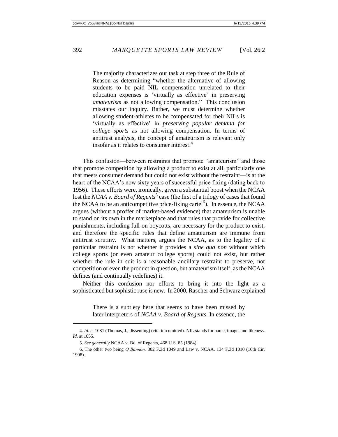The majority characterizes our task at step three of the Rule of Reason as determining "whether the alternative of allowing students to be paid NIL compensation unrelated to their education expenses is 'virtually as effective' in preserving *amateurism* as not allowing compensation." This conclusion misstates our inquiry. Rather, we must determine whether allowing student-athletes to be compensated for their NILs is 'virtually as effective' in *preserving popular demand for college sports* as not allowing compensation. In terms of antitrust analysis, the concept of amateurism is relevant only insofar as it relates to consumer interest. 4

This confusion—between restraints that promote "amateurism" and those that promote competition by allowing a product to exist at all, particularly one that meets consumer demand but could not exist without the restraint—is at the heart of the NCAA's now sixty years of successful price fixing (dating back to 1956). These efforts were, ironically, given a substantial boost when the NCAA lost the *NCAA v. Board of Regents*<sup>5</sup> case (the first of a trilogy of cases that found the NCAA to be an anticompetitive price-fixing cartel<sup>6</sup>). In essence, the NCAA argues (without a proffer of market-based evidence) that amateurism is unable to stand on its own in the marketplace and that rules that provide for collective punishments, including full-on boycotts, are necessary for the product to exist, and therefore the specific rules that define amateurism are immune from antitrust scrutiny. What matters, argues the NCAA, as to the legality of a particular restraint is not whether it provides a *sine qua non* without which college sports (or even amateur college sports) could not exist, but rather whether the rule in suit is a reasonable ancillary restraint to preserve, not competition or even the product in question, but amateurism itself, as the NCAA defines (and continually redefines) it.

Neither this confusion nor efforts to bring it into the light as a sophisticated but sophistic ruse is new. In 2000, Rascher and Schwarz explained

> There is a subtlety here that seems to have been missed by later interpreters of *NCAA v. Board of Regents*. In essence, the

<sup>4.</sup> *Id.* at 1081 (Thomas, J., dissenting) (citation omitted). NIL stands for name, image, and likeness. *Id.* at 1055.

<sup>5.</sup> *See generally* NCAA v. Bd. of Regents, 468 U.S. 85 (1984).

<sup>6.</sup> The other two being *O'Bannon,* 802 F.3d 1049 and Law v. NCAA, 134 F.3d 1010 (10th Cir. 1998).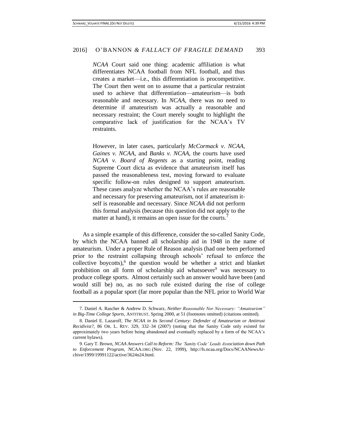*NCAA* Court said one thing: academic affiliation is what differentiates NCAA football from NFL football, and thus creates a market—i.e., this differentiation is procompetitive. The Court then went on to assume that a particular restraint used to achieve that differentiation—amateurism—is both reasonable and necessary. In *NCAA*, there was no need to determine if amateurism was actually a reasonable and necessary restraint; the Court merely sought to highlight the comparative lack of justification for the NCAA's TV restraints.

However, in later cases, particularly *McCormack v. NCAA*, *Gaines v. NCAA*, and *Banks v. NCAA*, the courts have used *NCAA v. Board of Regents* as a starting point, reading Supreme Court dicta as evidence that amateurism itself has passed the reasonableness test, moving forward to evaluate specific follow-on rules designed to support amateurism. These cases analyze whether the NCAA's rules are reasonable and necessary for preserving amateurism, not if amateurism itself is reasonable and necessary. Since *NCAA* did not perform this formal analysis (because this question did not apply to the matter at hand), it remains an open issue for the courts.<sup>7</sup>

As a simple example of this difference, consider the so-called Sanity Code, by which the NCAA banned all scholarship aid in 1948 in the name of amateurism. Under a proper Rule of Reason analysis (had one been performed prior to the restraint collapsing through schools' refusal to enforce the collective boycotts), $8$  the question would be whether a strict and blanket prohibition on all form of scholarship aid whatsoever $9$  was necessary to produce college sports. Almost certainly such an answer would have been (and would still be) no, as no such rule existed during the rise of college football as a popular sport (far more popular than the NFL prior to World War

 $\overline{a}$ 

<sup>7.</sup> Daniel A. Rascher & Andrew D. Schwarz, *Neither Reasonable Nor Necessary: "Amateurism" in Big-Time College Sports*, ANTITRUST, Spring 2000, at 51 (footnotes omitted) (citations omitted).

<sup>8.</sup> Daniel E. Lazaroff, *The NCAA in Its Second Century: Defender of Amateurism or Antitrust Recidivist?*, 86 OR. L. REV. 329, 332–34 (2007) (noting that the Sanity Code only existed for approximately two years before being abandoned and eventually replaced by a form of the NCAA's current bylaws).

<sup>9.</sup> Gary T. Brown, *NCAA Answers Call to Reform: The 'Sanity Code' Leads Association down Path to Enforcement Program*, NCAA.ORG (Nov. 22, 1999), http://fs.ncaa.org/Docs/NCAANewsArchive/1999/19991122/active/3624n24.html.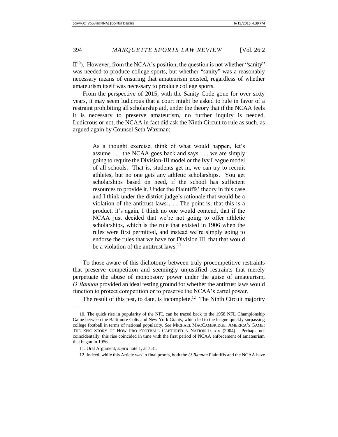$II<sup>10</sup>$ ). However, from the NCAA's position, the question is not whether "sanity" was needed to produce college sports, but whether "sanity" was a reasonably necessary means of ensuring that amateurism existed, regardless of whether amateurism itself was necessary to produce college sports.

From the perspective of 2015, with the Sanity Code gone for over sixty years, it may seem ludicrous that a court might be asked to rule in favor of a restraint prohibiting all scholarship aid, under the theory that if the NCAA feels it is necessary to preserve amateurism, no further inquiry is needed. Ludicrous or not, the NCAA in fact did ask the Ninth Circuit to rule as such, as argued again by Counsel Seth Waxman:

> As a thought exercise, think of what would happen, let's assume . . . the NCAA goes back and says . . . we are simply going to require the Division-III model or the Ivy League model of all schools. That is, students get in, we can try to recruit athletes, but no one gets any athletic scholarships. You get scholarships based on need, if the school has sufficient resources to provide it. Under the Plaintiffs' theory in this case and I think under the district judge's rationale that would be a violation of the antitrust laws . . . The point is, that this is a product, it's again, I think no one would contend, that if the NCAA just decided that we're not going to offer athletic scholarships, which is the rule that existed in 1906 when the rules were first permitted, and instead we're simply going to endorse the rules that we have for Division III, that that would be a violation of the antitrust laws.<sup>11</sup>

To those aware of this dichotomy between truly procompetitive restraints that preserve competition and seemingly unjustified restraints that merely perpetuate the abuse of monopsony power under the guise of amateurism, *O'Bannon* provided an ideal testing ground for whether the antitrust laws would function to protect competition or to preserve the NCAA's cartel power.

The result of this test, to date, is incomplete.<sup>12</sup> The Ninth Circuit majority

<sup>10.</sup> The quick rise in popularity of the NFL can be traced back to the 1958 NFL Championship Game between the Baltimore Colts and New York Giants, which led to the league quickly surpassing college football in terms of national popularity. *See* MICHAEL MACCAMBRIDGE, AMERICA'S GAME: THE EPIC STORY OF HOW PRO FOOTBALL CAPTURED A NATION ix–xix (2004). Perhaps not coincidentally, this rise coincided in time with the first period of NCAA enforcement of amateurism that began in 1956.

<sup>11.</sup> Oral Argument, *supra* note 1, at 7:31.

<sup>12.</sup> Indeed, while this Article was in final proofs, both the *O'Bannon* Plaintiffs and the NCAA have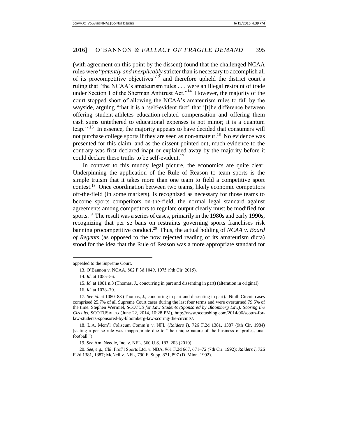(with agreement on this point by the dissent) found that the challenged NCAA rules were "*patently and inexplicably* stricter than is necessary to accomplish all of its procompetitive objectives"<sup>13</sup> and therefore upheld the district court's ruling that "the NCAA's amateurism rules . . . were an illegal restraint of trade under Section 1 of the Sherman Antitrust Act."<sup>14</sup> However, the majority of the court stopped short of allowing the NCAA's amateurism rules to fall by the wayside, arguing "that it is a 'self-evident fact' that '[t]he difference between offering student-athletes education-related compensation and offering them cash sums untethered to educational expenses is not minor; it is a quantum leap."<sup>15</sup> In essence, the majority appears to have decided that consumers will not purchase college sports if they are seen as non-amateur.<sup>16</sup> No evidence was presented for this claim, and as the dissent pointed out, much evidence to the contrary was first declared inapt or explained away by the majority before it could declare these truths to be self-evident.<sup>17</sup>

In contrast to this muddy legal picture, the economics are quite clear. Underpinning the application of the Rule of Reason to team sports is the simple truism that it takes more than one team to field a competitive sport contest.<sup>18</sup> Once coordination between two teams, likely economic competitors off-the-field (in some markets), is recognized as necessary for those teams to become sports competitors on-the-field, the normal legal standard against agreements among competitors to regulate output clearly must be modified for sports.<sup>19</sup> The result was a series of cases, primarily in the 1980s and early 1990s, recognizing that per se bans on restraints governing sports franchises risk banning procompetitive conduct.<sup>20</sup> Thus, the actual holding of *NCAA v. Board of Regents* (as opposed to the now rejected reading of its amateurism dicta) stood for the idea that the Rule of Reason was a more appropriate standard for

 $\overline{\phantom{a}}$ 

18. L.A. Mem'l Coliseum Comm'n v. NFL (*Raiders I*), 726 F.2d 1381, 1387 (9th Cir. 1984) (stating a per se rule was inappropriate due to "the unique nature of the business of professional football.").

19. *See* Am. Needle, Inc. v. NFL, 560 U.S. 183, 203 (2010).

20. *See, e.g.*, Chi. Prof'l Sports Ltd. v. NBA, 961 F.2d 667, 671–72 (7th Cir. 1992); *Raiders I*, 726 F.2d 1381, 1387; McNeil v. NFL, 790 F. Supp. 871, 897 (D. Minn. 1992).

appealed to the Supreme Court.

<sup>13.</sup> O'Bannon v. NCAA, 802 F.3d 1049, 1075 (9th Cir. 2015).

<sup>14.</sup> *Id*. at 1055–56.

<sup>15.</sup> *Id.* at 1081 n.3 (Thomas, J., concurring in part and dissenting in part) (alteration in original).

<sup>16.</sup> *Id.* at 1078–79.

<sup>17.</sup> *See id.* at 1080–83 (Thomas, J., concurring in part and dissenting in part). Ninth Circuit cases comprised 25.7% of all Supreme Court cases during the last four terms and were overturned 79.5% of the time. Stephen Wermiel, *SCOTUS for Law Students (Sponsored by Bloomberg Law): Scoring the Circuits*, SCOTUSBLOG (June 22, 2014, 10:28 PM), http://www.scotusblog.com/2014/06/scotus-forlaw-students-sponsored-by-bloomberg-law-scoring-the-circuits/.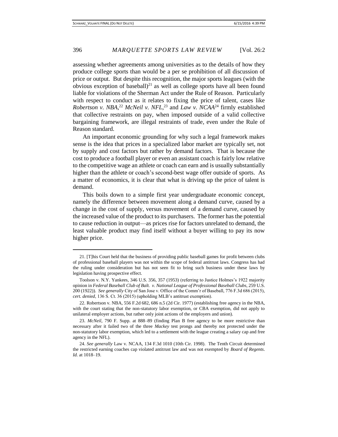assessing whether agreements among universities as to the details of how they produce college sports than would be a per se prohibition of all discussion of price or output. But despite this recognition, the major sports leagues (with the obvious exception of baseball) $^{21}$  as well as college sports have all been found liable for violations of the Sherman Act under the Rule of Reason. Particularly with respect to conduct as it relates to fixing the price of talent, cases like *Robertson v. NBA*, <sup>22</sup> *McNeil v. NFL*, <sup>23</sup> and *Law v. NCAA*<sup>24</sup> firmly established that collective restraints on pay, when imposed outside of a valid collective bargaining framework, are illegal restraints of trade, even under the Rule of Reason standard.

An important economic grounding for why such a legal framework makes sense is the idea that prices in a specialized labor market are typically set, not by supply and cost factors but rather by demand factors. That is because the cost to produce a football player or even an assistant coach is fairly low relative to the competitive wage an athlete or coach can earn and is usually substantially higher than the athlete or coach's second-best wage offer outside of sports. As a matter of economics, it is clear that what is driving up the price of talent is demand.

This boils down to a simple first year undergraduate economic concept, namely the difference between movement along a demand curve, caused by a change in the cost of supply, versus movement of a demand curve, caused by the increased value of the product to its purchasers. The former has the potential to cause reduction in output—as prices rise for factors unrelated to demand, the least valuable product may find itself without a buyer willing to pay its now higher price.

<sup>21. [</sup>T]his Court held that the business of providing public baseball games for profit between clubs of professional baseball players was not within the scope of federal antitrust laws. Congress has had the ruling under consideration but has not seen fit to bring such business under these laws by legislation having prospective effect.

Toolson v. N.Y. Yankees, 346 U.S. 356, 357 (1953) (referring to Justice Holmes's 1922 majority opinion in *Federal Baseball Club of Balt. v. National League of Professional Baseball Clubs*, 259 U.S. 200 (1922)). *See generally* City of San Jose v. Office of the Comm'r of Baseball, 776 F.3d 686 (2015), *cert. denied*, 136 S. Ct. 36 (2015) (upholding MLB's antitrust exemption).

<sup>22.</sup> Robertson v. NBA, 556 F.2d 682, 686 n.5 (2d Cir. 1977) (establishing free agency in the NBA, with the court stating that the non-statutory labor exemption, or CBA exemption, did not apply to unilateral employer actions, but rather only joint actions of the employers and union).

<sup>23.</sup> *McNeil*, 790 F. Supp. at 888–89 (finding Plan B free agency to be more restrictive than necessary after it failed two of the three *Mackey* test prongs and thereby not protected under the non-statutory labor exemption, which led to a settlement with the league creating a salary cap and free agency in the NFL).

<sup>24.</sup> *See generally* Law v. NCAA, 134 F.3d 1010 (10th Cir. 1998). The Tenth Circuit determined the restricted earning coaches cap violated antitrust law and was not exempted by *Board of Regents*. *Id.* at 1018–19.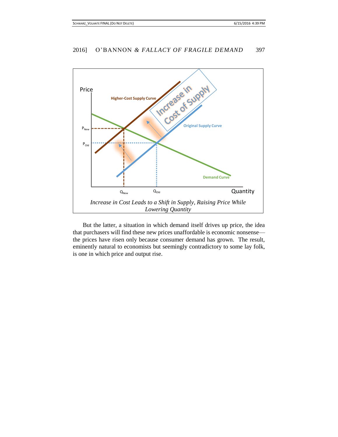

But the latter, a situation in which demand itself drives up price, the idea that purchasers will find these new prices unaffordable is economic nonsense the prices have risen only because consumer demand has grown. The result, eminently natural to economists but seemingly contradictory to some lay folk, is one in which price and output rise.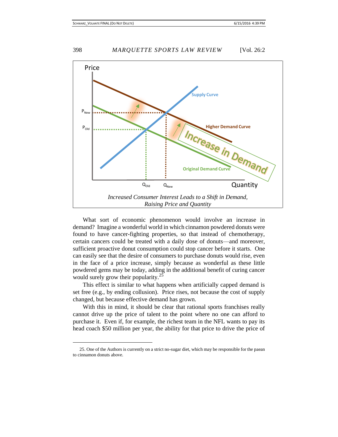

What sort of economic phenomenon would involve an increase in demand? Imagine a wonderful world in which cinnamon powdered donuts were found to have cancer-fighting properties, so that instead of chemotherapy, certain cancers could be treated with a daily dose of donuts—and moreover, sufficient proactive donut consumption could stop cancer before it starts. One can easily see that the desire of consumers to purchase donuts would rise, even in the face of a price increase, simply because as wonderful as these little powdered gems may be today, adding in the additional benefit of curing cancer would surely grow their popularity.<sup>25</sup>

This effect is similar to what happens when artificially capped demand is set free (e.g., by ending collusion). Price rises, not because the cost of supply changed, but because effective demand has grown.

With this in mind, it should be clear that rational sports franchises really cannot drive up the price of talent to the point where no one can afford to purchase it. Even if, for example, the richest team in the NFL wants to pay its head coach \$50 million per year, the ability for that price to drive the price of

<sup>25.</sup> One of the Authors is currently on a strict no-sugar diet, which may be responsible for the paean to cinnamon donuts above.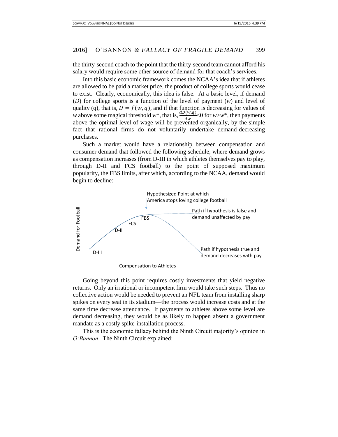the thirty-second coach to the point that the thirty-second team cannot afford his salary would require some other source of demand for that coach's services.

Into this basic economic framework comes the NCAA's idea that if athletes are allowed to be paid a market price, the product of college sports would cease to exist. Clearly, economically, this idea is false. At a basic level, if demand (*D*) for college sports is a function of the level of payment (*w*) and level of quality (q), that is,  $D = f(w, q)$ , and if that function is decreasing for values of *w* above some magical threshold *w*<sup>\*</sup>, that is,  $\frac{dD(w,q)}{dw}$  <0 for *w*>*w*<sup>\*</sup>, then payments above the optimal level of wage will be prevented organically, by the simple fact that rational firms do not voluntarily undertake demand-decreasing purchases.

Such a market would have a relationship between compensation and consumer demand that followed the following schedule, where demand grows as compensation increases (from D-III in which athletes themselves pay to play, through D-II and FCS football) to the point of supposed maximum popularity, the FBS limits, after which, according to the NCAA, demand would begin to decline:



Going beyond this point requires costly investments that yield negative returns. Only an irrational or incompetent firm would take such steps. Thus no collective action would be needed to prevent an NFL team from installing sharp spikes on every seat in its stadium—the process would increase costs and at the same time decrease attendance. If payments to athletes above some level are demand decreasing, they would be as likely to happen absent a government mandate as a costly spike-installation process.

This is the economic fallacy behind the Ninth Circuit majority's opinion in *O'Bannon*. The Ninth Circuit explained: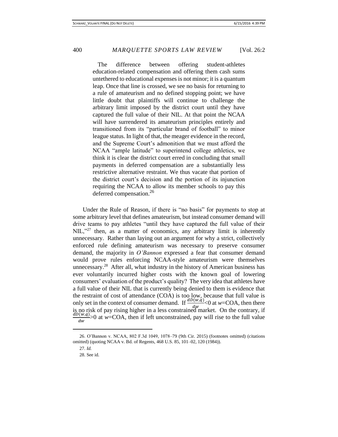The difference between offering student-athletes education-related compensation and offering them cash sums untethered to educational expenses is not minor; it is a quantum leap. Once that line is crossed, we see no basis for returning to a rule of amateurism and no defined stopping point; we have little doubt that plaintiffs will continue to challenge the arbitrary limit imposed by the district court until they have captured the full value of their NIL. At that point the NCAA will have surrendered its amateurism principles entirely and transitioned from its "particular brand of football" to minor league status. In light of that, the meager evidence in the record, and the Supreme Court's admonition that we must afford the NCAA "ample latitude" to superintend college athletics, we think it is clear the district court erred in concluding that small payments in deferred compensation are a substantially less restrictive alternative restraint. We thus vacate that portion of the district court's decision and the portion of its injunction requiring the NCAA to allow its member schools to pay this deferred compensation.<sup>26</sup>

Under the Rule of Reason, if there is "no basis" for payments to stop at some arbitrary level that defines amateurism, but instead consumer demand will drive teams to pay athletes "until they have captured the full value of their NIL,"<sup>27</sup> then, as a matter of economics, any arbitrary limit is inherently unnecessary. Rather than laying out an argument for why a strict, collectively enforced rule defining amateurism was necessary to preserve consumer demand, the majority in *O'Bannon* expressed a fear that consumer demand would prove rules enforcing NCAA-style amateurism were themselves unnecessary.<sup>28</sup> After all, what industry in the history of American business has ever voluntarily incurred higher costs with the known goal of lowering consumers' evaluation of the product's quality? The very idea that athletes have a full value of their NIL that is currently being denied to them is evidence that the restraint of cost of attendance (COA) is too low, because that full value is only set in the context of consumer demand. If  $\frac{d\bar{D}(w,q)}{dw}$  <0 at *w*=COA, then there is no risk of pay rising higher in a less constrained market. On the contrary, if  $dD(w,q)$  $\frac{\partial (w,q)}{\partial w}$ >0 at *w*=COA, then if left unconstrained, pay will rise to the full value

<sup>26.</sup> O'Bannon v. NCAA, 802 F.3d 1049, 1078–79 (9th Cir. 2015) (footnotes omitted) (citations omitted) (quoting NCAA v. Bd. of Regents, 468 U.S. 85, 101–02, 120 (1984)).

<sup>27.</sup> *Id.*

<sup>28.</sup> See id.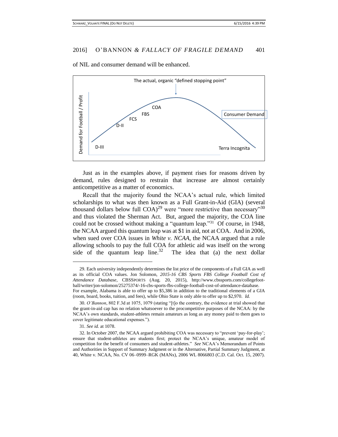of NIL and consumer demand will be enhanced.



Just as in the examples above, if payment rises for reasons driven by demand, rules designed to restrain that increase are almost certainly anticompetitive as a matter of economics.

Recall that the majority found the NCAA's actual rule, which limited scholarships to what was then known as a Full Grant-in-Aid (GIA) (several thousand dollars below full  $COA$ <sup>29</sup> were "more restrictive than necessary"<sup>30</sup> and thus violated the Sherman Act. But, argued the majority, the COA line could not be crossed without making a "quantum leap."<sup>31</sup> Of course, in 1948, the NCAA argued this quantum leap was at \$1 in aid, not at COA. And in 2006, when sued over COA issues in *White v. NCAA*, the NCAA argued that a rule allowing schools to pay the full COA for athletic aid was itself on the wrong side of the quantum leap line. $32$  The idea that (a) the next dollar

31. *See id.* at 1078.

 $\overline{a}$ 

<sup>29.</sup> Each university independently determines the list price of the components of a Full GIA as well as its official COA values. Jon Solomon, *2015-16 CBS Sports FBS College Football Cost of Attendance Database*, CBSSPORTS (Aug. 20, 2015), http://www.cbssports.com/collegefootball/writer/jon-solomon/25275374/-16-cbs-sports-fbs-college-football-cost-of-attendance-database. For example, Alabama is able to offer up to \$5,386 in addition to the traditional elements of a GIA (room, board, books, tuition, and fees), while Ohio State is only able to offer up to \$2,970. *Id.*

<sup>30.</sup> *O'Bannon*, 802 F.3d at 1075, 1079 (stating "[t]o the contrary, the evidence at trial showed that the grant-in-aid cap has no relation whatsoever to the procompetitive purposes of the NCAA: by the NCAA's own standards, student-athletes remain amateurs as long as any money paid to them goes to cover legitimate educational expenses.").

<sup>32.</sup> In October 2007, the NCAA argued prohibiting COA was necessary to "prevent 'pay-for-play'; ensure that student-athletes are students first; protect the NCAA's unique, amateur model of competition for the benefit of consumers and student-athletes." *See* NCAA's Memorandum of Points and Authorities in Support of Summary Judgment or in the Alternative, Partial Summary Judgment, at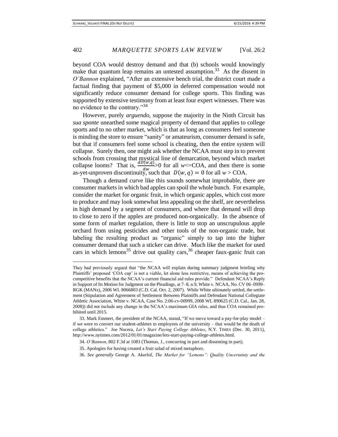beyond COA would destroy demand and that (b) schools would knowingly make that quantum leap remains an untested assumption.<sup>33</sup> As the dissent in *O'Bannon* explained, "After an extensive bench trial, the district court made a factual finding that payment of \$5,000 in deferred compensation would not significantly reduce consumer demand for college sports. This finding was supported by extensive testimony from at least four expert witnesses. There was no evidence to the contrary."<sup>34</sup>

However, purely *arguendo*, suppose the majority in the Ninth Circuit has *sua sponte* unearthed some magical property of demand that applies to college sports and to no other market, which is that as long as consumers feel someone is minding the store to ensure "sanity" or amateurism, consumer demand is safe, but that if consumers feel some school is cheating, then the entire system will collapse. Surely then, one might ask whether the NCAA must step in to prevent schools from crossing that mystical line of demarcation, beyond which market collapse looms? That is,  $\frac{d\bar{D}(w,q)}{dw} > 0$  for all *w*<=COA, and then there is some as-yet-unproven discontinuity, such that  $D(w, q) = 0$  for all  $w > \text{COA}$ .

Though a demand curve like this sounds somewhat improbable, there are consumer markets in which bad apples can spoil the whole bunch. For example, consider the market for organic fruit, in which organic apples, which cost more to produce and may look somewhat less appealing on the shelf, are nevertheless in high demand by a segment of consumers, and where that demand will drop to close to zero if the apples are produced non-organically. In the absence of some form of market regulation, there is little to stop an unscrupulous apple orchard from using pesticides and other tools of the non-organic trade, but labeling the resulting product as "organic" simply to tap into the higher consumer demand that such a sticker can drive. Much like the market for used cars in which lemons<sup>35</sup> drive out quality cars,  $36$  cheaper faux-ganic fruit can

 $\overline{a}$ 

They had previously argued that "the NCAA will explain during summary judgment briefing why Plaintiffs' proposed 'COA cap' is not a viable, let alone less restrictive, means of achieving the procompetitive benefits that the NCAA's current financial aid rules provide." Defendant NCAA's Reply in Support of Its Motion for Judgment on the Pleadings, at 7–8, n.9, White v. NCAA, No. CV 06–0999– RGK (MANx), 2006 WL 8066803 (C.D. Cal. Oct. 2, 2007). While White ultimately settled, the settlement (Stipulation and Agreement of Settlement Between Plaintiffs and Defendant National Collegiate Athletic Association, White v. NCAA, Case No. 2:06-cv-00999, 2008 WL 890625 (C.D. Cal., Jan. 28, 2008)) did not include any change in the NCAA's maximum GIA rules, and thus COA remained prohibited until 2015.

<sup>33.</sup> Mark Emmert, the president of the NCAA, stated, "If we move toward a pay-for-play model – if we were to convert our student-athletes to employees of the university – that would be the death of college athletics." Joe Nocera, *Let's Start Paying College Athletes*, N.Y. TIMES (Dec. 30, 2011), http://www.nytimes.com/2012/01/01/magazine/lets-start-paying-college-athletes.html.

<sup>34.</sup> *O'Bannon*, 802 F.3d at 1083 (Thomas, J., concurring in part and dissenting in part).

<sup>35.</sup> Apologies for having created a fruit salad of mixed metaphors.

<sup>36.</sup> *See generally* George A. Akerlof, *The Market for "Lemons": Quality Uncertainty and the*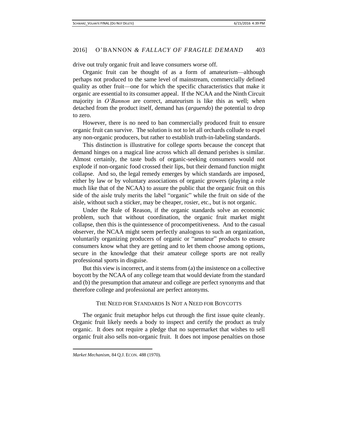drive out truly organic fruit and leave consumers worse off.

Organic fruit can be thought of as a form of amateurism—although perhaps not produced to the same level of mainstream, commercially defined quality as other fruit—one for which the specific characteristics that make it organic are essential to its consumer appeal. If the NCAA and the Ninth Circuit majority in *O'Bannon* are correct, amateurism is like this as well; when detached from the product itself, demand has (*arguendo*) the potential to drop to zero.

However, there is no need to ban commercially produced fruit to ensure organic fruit can survive. The solution is not to let all orchards collude to expel any non-organic producers, but rather to establish truth-in-labeling standards.

This distinction is illustrative for college sports because the concept that demand hinges on a magical line across which all demand perishes is similar. Almost certainly, the taste buds of organic-seeking consumers would not explode if non-organic food crossed their lips, but their demand function might collapse. And so, the legal remedy emerges by which standards are imposed, either by law or by voluntary associations of organic growers (playing a role much like that of the NCAA) to assure the public that the organic fruit on this side of the aisle truly merits the label "organic" while the fruit on side of the aisle, without such a sticker, may be cheaper, rosier, etc., but is not organic.

Under the Rule of Reason, if the organic standards solve an economic problem, such that without coordination, the organic fruit market might collapse, then this is the quintessence of procompetitiveness. And to the casual observer, the NCAA might seem perfectly analogous to such an organization, voluntarily organizing producers of organic or "amateur" products to ensure consumers know what they are getting and to let them choose among options, secure in the knowledge that their amateur college sports are not really professional sports in disguise.

But this view is incorrect, and it stems from (a) the insistence on a collective boycott by the NCAA of any college team that would deviate from the standard and (b) the presumption that amateur and college are perfect synonyms and that therefore college and professional are perfect antonyms.

### THE NEED FOR STANDARDS IS NOT A NEED FOR BOYCOTTS

The organic fruit metaphor helps cut through the first issue quite cleanly. Organic fruit likely needs a body to inspect and certify the product as truly organic. It does not require a pledge that no supermarket that wishes to sell organic fruit also sells non-organic fruit. It does not impose penalties on those

*Market Mechanism*, 84 Q.J. ECON. 488 (1970).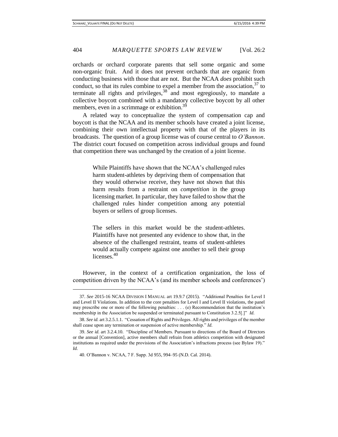orchards or orchard corporate parents that sell some organic and some non-organic fruit. And it does not prevent orchards that are organic from conducting business with those that are not. But the NCAA *does* prohibit such conduct, so that its rules combine to expel a member from the association,  $37$  to terminate all rights and privileges,  $38$  and most egregiously, to mandate a collective boycott combined with a mandatory collective boycott by all other members, even in a scrimmage or exhibition.<sup>39</sup>

A related way to conceptualize the system of compensation cap and boycott is that the NCAA and its member schools have created a joint license, combining their own intellectual property with that of the players in its broadcasts. The question of a group license was of course central to *O'Bannon*. The district court focused on competition across individual groups and found that competition there was unchanged by the creation of a joint license.

> While Plaintiffs have shown that the NCAA's challenged rules harm student-athletes by depriving them of compensation that they would otherwise receive, they have not shown that this harm results from a restraint on *competition* in the group licensing market. In particular, they have failed to show that the challenged rules hinder competition among any potential buyers or sellers of group licenses.

> The sellers in this market would be the student-athletes. Plaintiffs have not presented any evidence to show that, in the absence of the challenged restraint, teams of student-athletes would actually compete against one another to sell their group licenses.<sup>40</sup>

However, in the context of a certification organization, the loss of competition driven by the NCAA's (and its member schools and conferences')

<sup>37.</sup> *See* 2015-16 NCAA DIVISION I MANUAL art 19.9.7 (2015). "Additional Penalties for Level I and Level II Violations. In addition to the core penalties for Level I and Level II violations, the panel may prescribe one or more of the following penalties: . . . (e) Recommendation that the institution's membership in the Association be suspended or terminated pursuant to Constitution 3.2.5[.]" *Id.*

<sup>38.</sup> *See id.* art 3.2.5.1.1. "Cessation of Rights and Privileges. All rights and privileges of the member shall cease upon any termination or suspension of active membership." *Id.*

<sup>39.</sup> *See id.* art 3.2.4.10. "Discipline of Members. Pursuant to directions of the Board of Directors or the annual [Convention], active members shall refrain from athletics competition with designated institutions as required under the provisions of the Association's infractions process (see Bylaw 19)." *Id.*

<sup>40.</sup> O'Bannon v. NCAA, 7 F. Supp. 3d 955, 994–95 (N.D. Cal. 2014).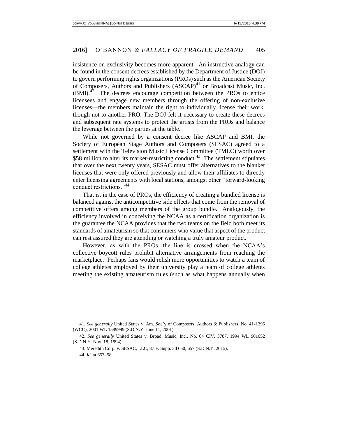insistence on exclusivity becomes more apparent. An instructive analogy can be found in the consent decrees established by the Department of Justice (DOJ) to govern performing rights organizations (PROs) such as the American Society of Composers, Authors and Publishers  $(ASCAP)^{41}$  or Broadcast Music, Inc.  $(BMI).$ <sup>42</sup> The decrees encourage competition between the PROs to entice licensees and engage new members through the offering of non-exclusive licenses—the members maintain the right to individually license their work, though not to another PRO. The DOJ felt it necessary to create these decrees and subsequent rate systems to protect the artists from the PROs and balance the leverage between the parties at the table.

While not governed by a consent decree like ASCAP and BMI, the Society of European Stage Authors and Composers (SESAC) agreed to a settlement with the Television Music License Committee (TMLC) worth over \$58 million to alter its market-restricting conduct.<sup>43</sup> The settlement stipulates that over the next twenty years, SESAC must offer alternatives to the blanket licenses that were only offered previously and allow their affiliates to directly enter licensing agreements with local stations, amongst other "forward-looking conduct restrictions."<sup>44</sup>

That is, in the case of PROs, the efficiency of creating a bundled license is balanced against the anticompetitive side effects that come from the removal of competitive offers among members of the group bundle. Analogously, the efficiency involved in conceiving the NCAA as a certification organization is the guarantee the NCAA provides that the two teams on the field both meet its standards of amateurism so that consumers who value that aspect of the product can rest assured they are attending or watching a truly amateur product.

However, as with the PROs, the line is crossed when the NCAA's collective boycott rules prohibit alternative arrangements from reaching the marketplace. Perhaps fans would relish more opportunities to watch a team of college athletes employed by their university play a team of college athletes meeting the existing amateurism rules (such as what happens annually when

<sup>41.</sup> *See generally* United States v. Am. Soc'y of Composers, Authors & Publishers, No. 41-1395 (WCC), 2001 WL 1589999 (S.D.N.Y. June 11, 2001).

<sup>42.</sup> *See generally* United States v. Broad. Music, Inc*.*, No. 64 CIV. 3787, 1994 WL 901652 (S.D.N.Y. Nov. 18, 1994).

<sup>43.</sup> Meredith Corp. v. SESAC, LLC, 87 F. Supp. 3d 650, 657 (S.D.N.Y. 2015).

<sup>44.</sup> *Id.* at 657–58.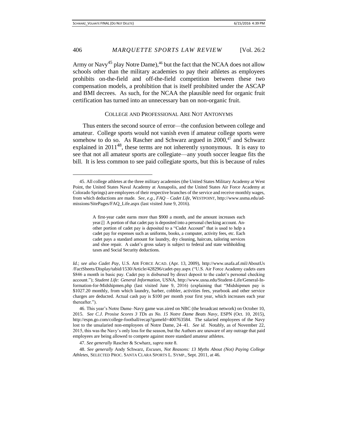Army or Navy<sup>45</sup> play Notre Dame),<sup>46</sup> but the fact that the NCAA does not allow schools other than the military academies to pay their athletes as employees prohibits on-the-field and off-the-field competition between these two compensation models, a prohibition that is itself prohibited under the ASCAP and BMI decrees. As such, for the NCAA the plausible need for organic fruit certification has turned into an unnecessary ban on non-organic fruit.

#### COLLEGE AND PROFESSIONAL ARE NOT ANTONYMS

Thus enters the second source of error—the confusion between college and amateur. College sports would not vanish even if amateur college sports were somehow to do so. As Rascher and Schwarz argued in  $2000$ <sup>47</sup> and Schwarz explained in  $2011^{48}$ , these terms are not inherently synonymous. It is easy to see that not all amateur sports are collegiate—any youth soccer league fits the bill. It is less common to see paid collegiate sports, but this is because of rules

*Id.*; *see also Cadet Pay*, U.S. AIR FORCE ACAD. (Apr. 13, 2009), http://www.usafa.af.mil/AboutUs /FactSheets/Display/tabid/1530/Article/428296/cadet-pay.aspx ("U.S. Air Force Academy cadets earn \$846 a month in basic pay. Cadet pay is disbursed by direct deposit to the cadet's personal checking account."); *Student Life: General Information*, USNA, http://www.usna.edu/Student-Life/General-Information-for-Midshipmen.php (last visited June 9, 2016) (explaining that "Midshipmen pay is \$1027.20 monthly, from which laundry, barber, cobbler, activities fees, yearbook and other service charges are deducted. Actual cash pay is \$100 per month your first year, which increases each year thereafter.").

46. This year's Notre Dame–Navy game was aired on NBC (the broadcast network) on October 10, 2015. *See C.J. Prosise Scores 3 TDs as No. 15 Notre Dame Beats Navy*, ESPN (Oct. 10, 2015), http://espn.go.com/college-football/recap?gameId=400763584. The salaried employees of the Navy lost to the unsalaried non-employees of Notre Dame, 24–41. *See id.* Notably, as of November 22, 2015, this was the Navy's only loss for the season, but the Authors are unaware of any outrage that paid employees are being allowed to compete against more standard amateur athletes.

47. *See generally* Rascher & Scwharz, *supra* note 8.

48. *See generally* Andy Schwarz, *Excuses, Not Reasons: 13 Myths About (Not) Paying College Athletes*, SELECTED PROC. SANTA CLARA SPORTS L. SYMP., Sept. 2011, at 46.

<sup>45.</sup> All college athletes at the three military academies (the United States Military Academy at West Point, the United States Naval Academy at Annapolis, and the United States Air Force Academy at Colorado Springs) are employees of their respective branches of the service and receive monthly wages, from which deductions are made. *See, e.g.*, *FAQ – Cadet Life*, WESTPOINT, http://www.usma.edu/admissions/SitePages/FAQ\_Life.aspx (last visited June 9, 2016).

A first-year cadet earns more than \$900 a month, and the amount increases each year.[] A portion of that cadet pay is deposited into a personal checking account. Another portion of cadet pay is deposited to a "Cadet Account" that is used to help a cadet pay for expenses such as uniforms, books, a computer, activity fees, etc. Each cadet pays a standard amount for laundry, dry cleaning, haircuts, tailoring services and shoe repair. A cadet's gross salary is subject to federal and state withholding taxes and Social Security deductions.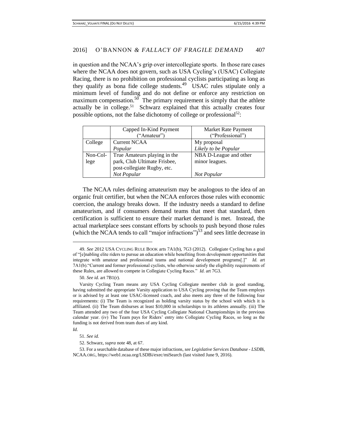in question and the NCAA's grip over intercollegiate sports. In those rare cases where the NCAA does not govern, such as USA Cycling's (USAC) Collegiate Racing, there is no prohibition on professional cyclists participating as long as they qualify as bona fide college students.<sup>49</sup> USAC rules stipulate only a minimum level of funding and do not define or enforce any restriction on maximum compensation.<sup>50</sup> The primary requirement is simply that the athlete actually be in college.<sup>51</sup> Schwarz explained that this actually creates four possible options, not the false dichotomy of college or professional<sup>52</sup>:

|          | Capped In-Kind Payment<br>("Amateur") | Market Rate Payment<br>("Professional") |
|----------|---------------------------------------|-----------------------------------------|
| College  | <b>Current NCAA</b>                   | My proposal                             |
|          | Popular                               | Likely to be Popular                    |
| Non-Col- | True Amateurs playing in the          | NBA D-League and other                  |
| lege     | park, Club Ultimate Frisbee,          | minor leagues.                          |
|          | post-collegiate Rugby, etc.           |                                         |
|          | Not Popular                           | Not Popular                             |

The NCAA rules defining amateurism may be analogous to the idea of an organic fruit certifier, but when the NCAA enforces those rules with economic coercion, the analogy breaks down. If the industry needs a standard to define amateurism, and if consumers demand teams that meet that standard, then certification is sufficient to ensure their market demand is met. Instead, the actual marketplace sees constant efforts by schools to push beyond those rules (which the NCAA tends to call "major infractions") $<sup>53</sup>$  and sees little decrease in</sup>

*Id.* 

 $\overline{a}$ 

<sup>49.</sup> *See* 2012 USA CYCLING RULE BOOK arts 7A1(b), 7G3 (2012). Collegiate Cycling has a goal of "[e]nabling elite riders to pursue an education while benefiting from development opportunities that integrate with amateur and professional teams and national development programs[.]" *Id.* art 7A1(b)."Current and former professional cyclists, who otherwise satisfy the eligibility requirements of these Rules, are allowed to compete in Collegiate Cycling Races." *Id.* art 7G3.

<sup>50.</sup> *See id.* art 7B1(r).

Varsity Cycling Team means any USA Cycling Collegiate member club in good standing, having submitted the appropriate Varsity application to USA Cycling proving that the Team employs or is advised by at least one USAC-licensed coach, and also meets any three of the following four requirements: (i) The Team is recognized as holding varsity status by the school with which it is affiliated. (ii) The Team disburses at least \$10,000 in scholarships to its athletes annually. (iii) The Team attended any two of the four USA Cycling Collegiate National Championships in the previous calendar year. (iv) The Team pays for Riders' entry into Collegiate Cycling Races, so long as the funding is not derived from team dues of any kind.

<sup>51.</sup> *See id.*

<sup>52.</sup> Schwarz, *supra* note 48, at 67.

<sup>53.</sup> For a searchable database of these major infractions, *see Legislative Services Database - LSDB*i, NCAA.ORG, https://web1.ncaa.org/LSDBi/exec/miSearch (last visited June 9, 2016).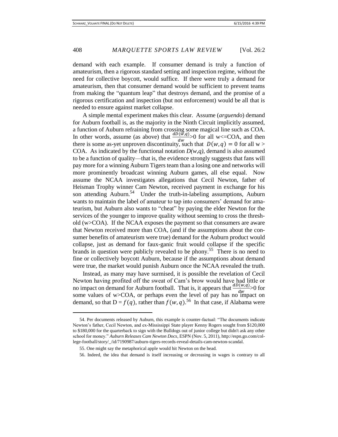demand with each example. If consumer demand is truly a function of amateurism, then a rigorous standard setting and inspection regime, without the need for collective boycott, would suffice. If there were truly a demand for amateurism, then that consumer demand would be sufficient to prevent teams from making the "quantum leap" that destroys demand, and the promise of a rigorous certification and inspection (but not enforcement) would be all that is needed to ensure against market collapse.

A simple mental experiment makes this clear. Assume (*arguendo*) demand for Auburn football is, as the majority in the Ninth Circuit implicitly assumed, a function of Auburn refraining from crossing some magical line such as COA. In other words, assume (as above) that  $\frac{dD(\vec{w},q)}{dw}$  of or all w<=COA, and then there is some as-yet unproven discontinuity, such that  $D(w, q) = 0$  for all w > COA. As indicated by the functional notation  $D(w,q)$ , demand is also assumed to be a function of quality—that is, the evidence strongly suggests that fans will pay more for a winning Auburn Tigers team than a losing one and networks will more prominently broadcast winning Auburn games, all else equal. Now assume the NCAA investigates allegations that Cecil Newton, father of Heisman Trophy winner Cam Newton, received payment in exchange for his son attending Auburn.<sup>54</sup> Under the truth-in-labeling assumptions, Auburn wants to maintain the label of amateur to tap into consumers' demand for amateurism, but Auburn also wants to "cheat" by paying the elder Newton for the services of the younger to improve quality without seeming to cross the threshold (w>COA). If the NCAA exposes the payment so that consumers are aware that Newton received more than COA, (and if the assumptions about the consumer benefits of amateurism were true) demand for the Auburn product would collapse, just as demand for faux-ganic fruit would collapse if the specific brands in question were publicly revealed to be phony.<sup>55</sup> There is no need to fine or collectively boycott Auburn, because if the assumptions about demand were true, the market would punish Auburn once the NCAA revealed the truth.

Instead, as many may have surmised, it is possible the revelation of Cecil Newton having profited off the sweat of Cam's brow would have had little or no impact on demand for Auburn football. That is, it appears that  $\frac{d\bar{D}(w,q)}{dw} > 0$  for some values of  $w > COA$ , or perhaps even the level of pay has no impact on demand, so that  $D = f(q)$ , rather than  $f(w, q)$ .<sup>56</sup> In that case, if Alabama were

<sup>54.</sup> Per documents released by Auburn, this example is counter-factual: "The documents indicate Newton's father, Cecil Newton, and ex-Mississippi State player Kenny Rogers sought from \$120,000 to \$180,000 for the quarterback to sign with the Bulldogs out of junior college but didn't ask any other school for money." *Auburn Releases Cam Newton Docs*, ESPN (Nov. 5, 2011), http://espn.go.com/college-football/story/\_/id/7190987/auburn-tigers-records-reveal-details-cam-newton-scandal.

<sup>55.</sup> One might say the metaphorical apple would hit Newton on the head.

<sup>56.</sup> Indeed, the idea that demand is itself increasing or decreasing in wages is contrary to all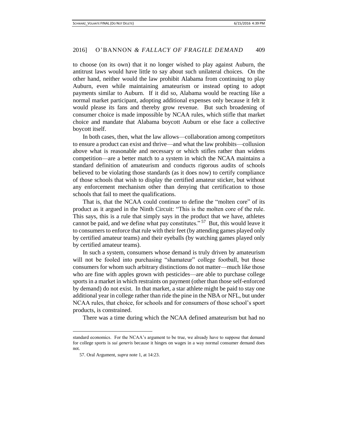to choose (on its own) that it no longer wished to play against Auburn, the antitrust laws would have little to say about such unilateral choices. On the other hand, neither would the law prohibit Alabama from continuing to play Auburn, even while maintaining amateurism or instead opting to adopt payments similar to Auburn. If it did so, Alabama would be reacting like a normal market participant, adopting additional expenses only because it felt it would please its fans and thereby grow revenue. But such broadening of consumer choice is made impossible by NCAA rules, which stifle that market choice and mandate that Alabama boycott Auburn or else face a collective boycott itself.

In both cases, then, what the law allows—collaboration among competitors to ensure a product can exist and thrive—and what the law prohibits—collusion above what is reasonable and necessary or which stifles rather than widens competition—are a better match to a system in which the NCAA maintains a standard definition of amateurism and conducts rigorous audits of schools believed to be violating those standards (as it does now) to certify compliance of those schools that wish to display the certified amateur sticker, but without any enforcement mechanism other than denying that certification to those schools that fail to meet the qualifications.

That is, that the NCAA could continue to define the "molten core" of its product as it argued in the Ninth Circuit: "This is the molten core of the rule. This says, this is a rule that simply says in the product that we have, athletes cannot be paid, and we define what pay constitutes."  $57$  But, this would leave it to consumers to enforce that rule with their feet (by attending games played only by certified amateur teams) and their eyeballs (by watching games played only by certified amateur teams).

In such a system, consumers whose demand is truly driven by amateurism will not be fooled into purchasing "shamateur" college football, but those consumers for whom such arbitrary distinctions do not matter—much like those who are fine with apples grown with pesticides—are able to purchase college sports in a market in which restraints on payment (other than those self-enforced by demand) do not exist. In that market, a star athlete might be paid to stay one additional year in college rather than ride the pine in the NBA or NFL, but under NCAA rules, that choice, for schools and for consumers of those school's sport products, is constrained.

There was a time during which the NCAA defined amateurism but had no

l

standard economics. For the NCAA's argument to be true, we already have to suppose that demand for college sports is *sui generis* because it hinges on wages in a way normal consumer demand does not.

<sup>57.</sup> Oral Argument, *supra* note 1, at 14:23.